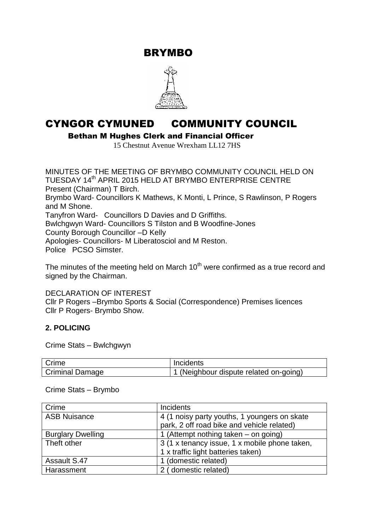BRYMBO



# CYNGOR CYMUNED COMMUNITY COUNCIL

Bethan M Hughes Clerk and Financial Officer

15 Chestnut Avenue Wrexham LL12 7HS

MINUTES OF THE MEETING OF BRYMBO COMMUNITY COUNCIL HELD ON TUESDAY 14<sup>th</sup> APRIL 2015 HELD AT BRYMBO ENTERPRISE CENTRE Present (Chairman) T Birch. Brymbo Ward- Councillors K Mathews, K Monti, L Prince, S Rawlinson, P Rogers and M Shone. Tanyfron Ward- Councillors D Davies and D Griffiths. Bwlchgwyn Ward- Councillors S Tilston and B Woodfine-Jones County Borough Councillor –D Kelly Apologies- Councillors- M Liberatosciol and M Reston. Police PCSO Simster.

The minutes of the meeting held on March  $10<sup>th</sup>$  were confirmed as a true record and signed by the Chairman.

DECLARATION OF INTEREST

Cllr P Rogers –Brymbo Sports & Social (Correspondence) Premises licences Cllr P Rogers- Brymbo Show.

#### **2. POLICING**

Crime Stats – Bwlchgwyn

| Crime           | Incidents                            |
|-----------------|--------------------------------------|
| Criminal Damage | (Neighbour dispute related on-going) |

Crime Stats – Brymbo

| Crime                    | <b>Incidents</b>                              |  |
|--------------------------|-----------------------------------------------|--|
| <b>ASB Nuisance</b>      | 4 (1 noisy party youths, 1 youngers on skate  |  |
|                          | park, 2 off road bike and vehicle related)    |  |
| <b>Burglary Dwelling</b> | 1 (Attempt nothing taken – on going)          |  |
| Theft other              | 3 (1 x tenancy issue, 1 x mobile phone taken, |  |
|                          | 1 x traffic light batteries taken)            |  |
| <b>Assault S.47</b>      | 1 (domestic related)                          |  |
| Harassment               | 2 (domestic related)                          |  |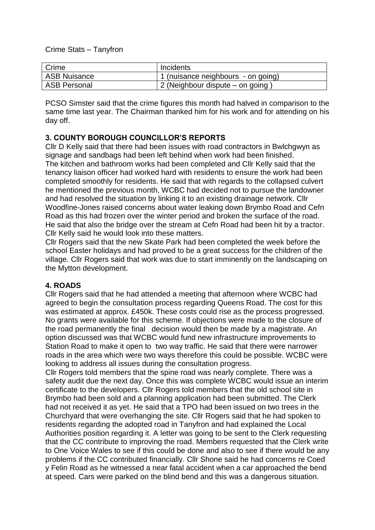Crime Stats – Tanyfron

| Crime               | Incidents                          |
|---------------------|------------------------------------|
| <b>ASB Nuisance</b> | 1 (nuisance neighbours - on going) |
| <b>ASB Personal</b> | 2 (Neighbour dispute – on going)   |

PCSO Simster said that the crime figures this month had halved in comparison to the same time last year. The Chairman thanked him for his work and for attending on his day off.

## **3. COUNTY BOROUGH COUNCILLOR'S REPORTS**

Cllr D Kelly said that there had been issues with road contractors in Bwlchgwyn as signage and sandbags had been left behind when work had been finished. The kitchen and bathroom works had been completed and Cllr Kelly said that the tenancy liaison officer had worked hard with residents to ensure the work had been completed smoothly for residents. He said that with regards to the collapsed culvert he mentioned the previous month, WCBC had decided not to pursue the landowner and had resolved the situation by linking it to an existing drainage network. Cllr Woodfine-Jones raised concerns about water leaking down Brymbo Road and Cefn Road as this had frozen over the winter period and broken the surface of the road. He said that also the bridge over the stream at Cefn Road had been hit by a tractor. Cllr Kelly said he would look into these matters.

Cllr Rogers said that the new Skate Park had been completed the week before the school Easter holidays and had proved to be a great success for the children of the village. Cllr Rogers said that work was due to start imminently on the landscaping on the Mytton development.

#### **4. ROADS**

Cllr Rogers said that he had attended a meeting that afternoon where WCBC had agreed to begin the consultation process regarding Queens Road. The cost for this was estimated at approx. £450k. These costs could rise as the process progressed. No grants were available for this scheme. If objections were made to the closure of the road permanently the final decision would then be made by a magistrate. An option discussed was that WCBC would fund new infrastructure improvements to Station Road to make it open to two way traffic. He said that there were narrower roads in the area which were two ways therefore this could be possible. WCBC were looking to address all issues during the consultation progress.

Cllr Rogers told members that the spine road was nearly complete. There was a safety audit due the next day. Once this was complete WCBC would issue an interim certificate to the developers. Cllr Rogers told members that the old school site in Brymbo had been sold and a planning application had been submitted. The Clerk had not received it as yet. He said that a TPO had been issued on two trees in the Churchyard that were overhanging the site. Cllr Rogers said that he had spoken to residents regarding the adopted road in Tanyfron and had explained the Local Authorities position regarding it. A letter was going to be sent to the Clerk requesting that the CC contribute to improving the road. Members requested that the Clerk write to One Voice Wales to see if this could be done and also to see if there would be any problems if the CC contributed financially. Cllr Shone said he had concerns re Coed y Felin Road as he witnessed a near fatal accident when a car approached the bend at speed. Cars were parked on the blind bend and this was a dangerous situation.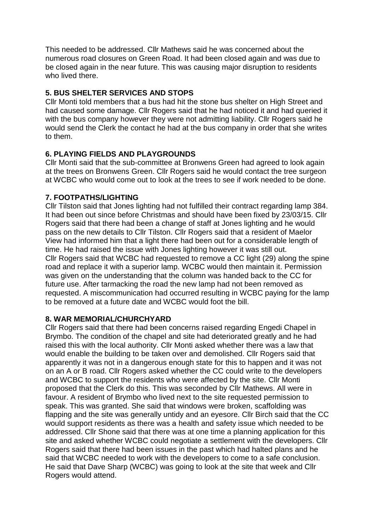This needed to be addressed. Cllr Mathews said he was concerned about the numerous road closures on Green Road. It had been closed again and was due to be closed again in the near future. This was causing major disruption to residents who lived there.

## **5. BUS SHELTER SERVICES AND STOPS**

Cllr Monti told members that a bus had hit the stone bus shelter on High Street and had caused some damage. Cllr Rogers said that he had noticed it and had queried it with the bus company however they were not admitting liability. Cllr Rogers said he would send the Clerk the contact he had at the bus company in order that she writes to them.

## **6. PLAYING FIELDS AND PLAYGROUNDS**

Cllr Monti said that the sub-committee at Bronwens Green had agreed to look again at the trees on Bronwens Green. Cllr Rogers said he would contact the tree surgeon at WCBC who would come out to look at the trees to see if work needed to be done.

## **7. FOOTPATHS/LIGHTING**

Cllr Tilston said that Jones lighting had not fulfilled their contract regarding lamp 384. It had been out since before Christmas and should have been fixed by 23/03/15. Cllr Rogers said that there had been a change of staff at Jones lighting and he would pass on the new details to Cllr Tilston. Cllr Rogers said that a resident of Maelor View had informed him that a light there had been out for a considerable length of time. He had raised the issue with Jones lighting however it was still out. Cllr Rogers said that WCBC had requested to remove a CC light (29) along the spine road and replace it with a superior lamp. WCBC would then maintain it. Permission was given on the understanding that the column was handed back to the CC for future use. After tarmacking the road the new lamp had not been removed as requested. A miscommunication had occurred resulting in WCBC paying for the lamp to be removed at a future date and WCBC would foot the bill.

#### **8. WAR MEMORIAL/CHURCHYARD**

Cllr Rogers said that there had been concerns raised regarding Engedi Chapel in Brymbo. The condition of the chapel and site had deteriorated greatly and he had raised this with the local authority. Cllr Monti asked whether there was a law that would enable the building to be taken over and demolished. Cllr Rogers said that apparently it was not in a dangerous enough state for this to happen and it was not on an A or B road. Cllr Rogers asked whether the CC could write to the developers and WCBC to support the residents who were affected by the site. Cllr Monti proposed that the Clerk do this. This was seconded by Cllr Mathews. All were in favour. A resident of Brymbo who lived next to the site requested permission to speak. This was granted. She said that windows were broken, scaffolding was flapping and the site was generally untidy and an eyesore. Cllr Birch said that the CC would support residents as there was a health and safety issue which needed to be addressed. Cllr Shone said that there was at one time a planning application for this site and asked whether WCBC could negotiate a settlement with the developers. Cllr Rogers said that there had been issues in the past which had halted plans and he said that WCBC needed to work with the developers to come to a safe conclusion. He said that Dave Sharp (WCBC) was going to look at the site that week and Cllr Rogers would attend.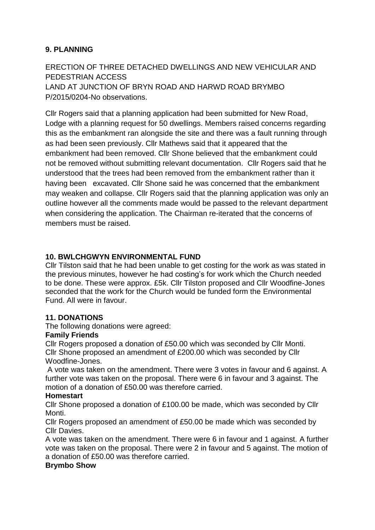# **9. PLANNING**

ERECTION OF THREE DETACHED DWELLINGS AND NEW VEHICULAR AND PEDESTRIAN ACCESS LAND AT JUNCTION OF BRYN ROAD AND HARWD ROAD BRYMBO P/2015/0204-No observations.

Cllr Rogers said that a planning application had been submitted for New Road, Lodge with a planning request for 50 dwellings. Members raised concerns regarding this as the embankment ran alongside the site and there was a fault running through as had been seen previously. Cllr Mathews said that it appeared that the embankment had been removed. Cllr Shone believed that the embankment could not be removed without submitting relevant documentation. Cllr Rogers said that he understood that the trees had been removed from the embankment rather than it having been excavated. Cllr Shone said he was concerned that the embankment may weaken and collapse. Cllr Rogers said that the planning application was only an outline however all the comments made would be passed to the relevant department when considering the application. The Chairman re-iterated that the concerns of members must be raised.

## **10. BWLCHGWYN ENVIRONMENTAL FUND**

Cllr Tilston said that he had been unable to get costing for the work as was stated in the previous minutes, however he had costing's for work which the Church needed to be done. These were approx. £5k. Cllr Tilston proposed and Cllr Woodfine-Jones seconded that the work for the Church would be funded form the Environmental Fund. All were in favour.

## **11. DONATIONS**

The following donations were agreed:

#### **Family Friends**

Cllr Rogers proposed a donation of £50.00 which was seconded by Cllr Monti. Cllr Shone proposed an amendment of £200.00 which was seconded by Cllr Woodfine-Jones.

A vote was taken on the amendment. There were 3 votes in favour and 6 against. A further vote was taken on the proposal. There were 6 in favour and 3 against. The motion of a donation of £50.00 was therefore carried.

#### **Homestart**

Cllr Shone proposed a donation of £100.00 be made, which was seconded by Cllr Monti.

Cllr Rogers proposed an amendment of £50.00 be made which was seconded by Cllr Davies.

A vote was taken on the amendment. There were 6 in favour and 1 against. A further vote was taken on the proposal. There were 2 in favour and 5 against. The motion of a donation of £50.00 was therefore carried.

#### **Brymbo Show**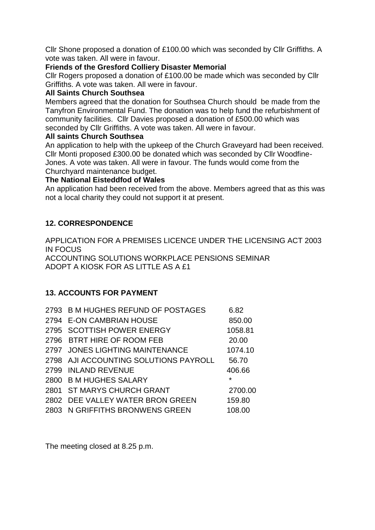Cllr Shone proposed a donation of £100.00 which was seconded by Cllr Griffiths. A vote was taken. All were in favour.

#### **Friends of the Gresford Colliery Disaster Memorial**

Cllr Rogers proposed a donation of £100.00 be made which was seconded by Cllr Griffiths. A vote was taken. All were in favour.

## **All Saints Church Southsea**

Members agreed that the donation for Southsea Church should be made from the Tanyfron Environmental Fund. The donation was to help fund the refurbishment of community facilities. Cllr Davies proposed a donation of £500.00 which was seconded by Cllr Griffiths. A vote was taken. All were in favour.

## **All saints Church Southsea**

An application to help with the upkeep of the Church Graveyard had been received. Cllr Monti proposed £300.00 be donated which was seconded by Cllr Woodfine-Jones. A vote was taken. All were in favour. The funds would come from the Churchyard maintenance budget.

## **The National Eisteddfod of Wales**

An application had been received from the above. Members agreed that as this was not a local charity they could not support it at present.

# **12. CORRESPONDENCE**

APPLICATION FOR A PREMISES LICENCE UNDER THE LICENSING ACT 2003 IN FOCUS ACCOUNTING SOLUTIONS WORKPLACE PENSIONS SEMINAR ADOPT A KIOSK FOR AS LITTLE AS A £1

## **13. ACCOUNTS FOR PAYMENT**

| 2793 B M HUGHES REFUND OF POSTAGES    | 6.82    |
|---------------------------------------|---------|
| 2794 E-ON CAMBRIAN HOUSE              | 850.00  |
| 2795 SCOTTISH POWER ENERGY            | 1058.81 |
| 2796 BTRT HIRE OF ROOM FEB            | 20.00   |
| 2797 JONES LIGHTING MAINTENANCE       | 1074.10 |
| 2798 AJI ACCOUNTING SOLUTIONS PAYROLL | 56.70   |
| 2799 INLAND REVENUE                   | 406.66  |
| 2800 B M HUGHES SALARY                | $\star$ |
| 2801 ST MARYS CHURCH GRANT            | 2700.00 |
| 2802 DEE VALLEY WATER BRON GREEN      | 159.80  |
| 2803 N GRIFFITHS BRONWENS GREEN       | 108.00  |

The meeting closed at 8.25 p.m.